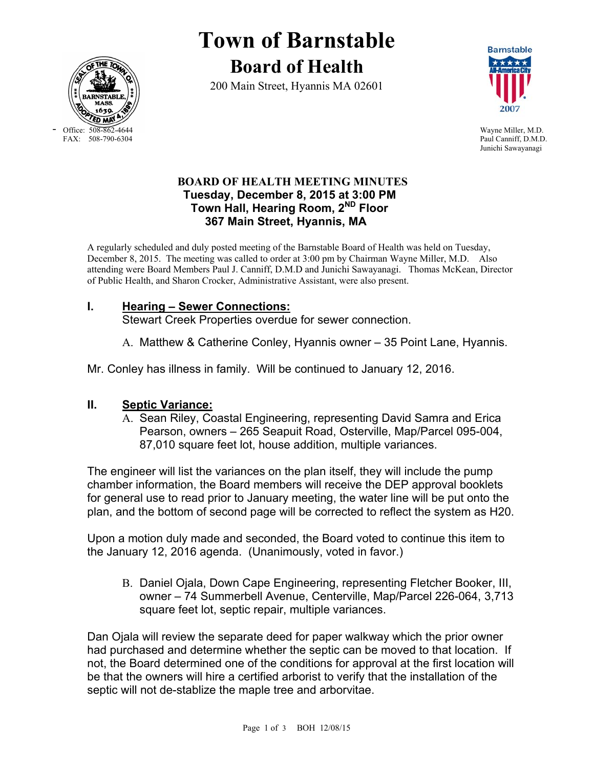

- Office: 508-862-4644 Wayne Miller, M.D.<br>FAX: 508-790-6304 Paul Canniff. D.M.D

# **Town of Barnstable Board of Health**

200 Main Street, Hyannis MA 02601



Paul Canniff, D.M.D. Junichi Sawayanagi

### **BOARD OF HEALTH MEETING MINUTES Tuesday, December 8, 2015 at 3:00 PM Town Hall, Hearing Room, 2ND Floor 367 Main Street, Hyannis, MA**

A regularly scheduled and duly posted meeting of the Barnstable Board of Health was held on Tuesday, December 8, 2015. The meeting was called to order at 3:00 pm by Chairman Wayne Miller, M.D. Also attending were Board Members Paul J. Canniff, D.M.D and Junichi Sawayanagi. Thomas McKean, Director of Public Health, and Sharon Crocker, Administrative Assistant, were also present.

### **I. Hearing – Sewer Connections:**

Stewart Creek Properties overdue for sewer connection.

A. Matthew & Catherine Conley, Hyannis owner – 35 Point Lane, Hyannis.

Mr. Conley has illness in family. Will be continued to January 12, 2016.

## **II. Septic Variance:**

A. Sean Riley, Coastal Engineering, representing David Samra and Erica Pearson, owners – 265 Seapuit Road, Osterville, Map/Parcel 095-004, 87,010 square feet lot, house addition, multiple variances.

The engineer will list the variances on the plan itself, they will include the pump chamber information, the Board members will receive the DEP approval booklets for general use to read prior to January meeting, the water line will be put onto the plan, and the bottom of second page will be corrected to reflect the system as H20.

Upon a motion duly made and seconded, the Board voted to continue this item to the January 12, 2016 agenda. (Unanimously, voted in favor.)

B. Daniel Ojala, Down Cape Engineering, representing Fletcher Booker, III, owner – 74 Summerbell Avenue, Centerville, Map/Parcel 226-064, 3,713 square feet lot, septic repair, multiple variances.

Dan Ojala will review the separate deed for paper walkway which the prior owner had purchased and determine whether the septic can be moved to that location. If not, the Board determined one of the conditions for approval at the first location will be that the owners will hire a certified arborist to verify that the installation of the septic will not de-stablize the maple tree and arborvitae.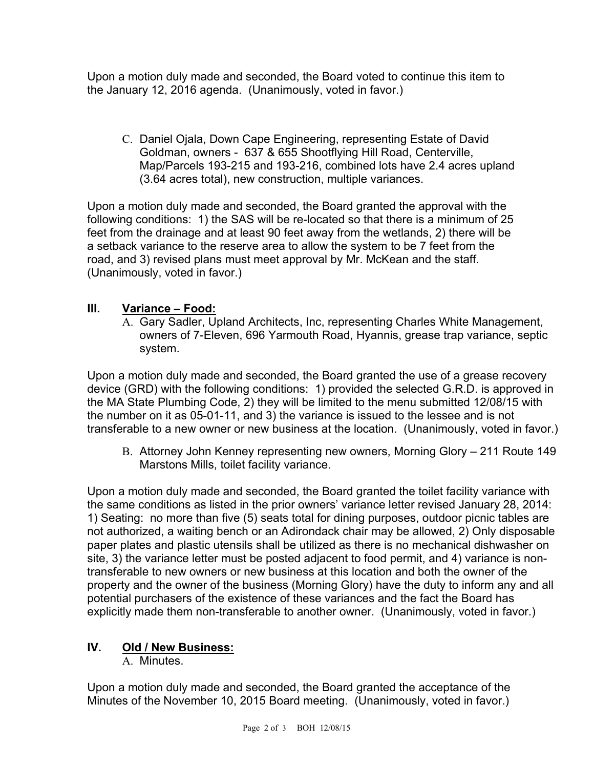Upon a motion duly made and seconded, the Board voted to continue this item to the January 12, 2016 agenda. (Unanimously, voted in favor.)

C. Daniel Ojala, Down Cape Engineering, representing Estate of David Goldman, owners - 637 & 655 Shootflying Hill Road, Centerville, Map/Parcels 193-215 and 193-216, combined lots have 2.4 acres upland (3.64 acres total), new construction, multiple variances.

Upon a motion duly made and seconded, the Board granted the approval with the following conditions: 1) the SAS will be re-located so that there is a minimum of 25 feet from the drainage and at least 90 feet away from the wetlands, 2) there will be a setback variance to the reserve area to allow the system to be 7 feet from the road, and 3) revised plans must meet approval by Mr. McKean and the staff. (Unanimously, voted in favor.)

## **III. Variance – Food:**

A. Gary Sadler, Upland Architects, Inc, representing Charles White Management, owners of 7-Eleven, 696 Yarmouth Road, Hyannis, grease trap variance, septic system.

Upon a motion duly made and seconded, the Board granted the use of a grease recovery device (GRD) with the following conditions: 1) provided the selected G.R.D. is approved in the MA State Plumbing Code, 2) they will be limited to the menu submitted 12/08/15 with the number on it as 05-01-11, and 3) the variance is issued to the lessee and is not transferable to a new owner or new business at the location. (Unanimously, voted in favor.)

B. Attorney John Kenney representing new owners, Morning Glory – 211 Route 149 Marstons Mills, toilet facility variance.

Upon a motion duly made and seconded, the Board granted the toilet facility variance with the same conditions as listed in the prior owners' variance letter revised January 28, 2014: 1) Seating: no more than five (5) seats total for dining purposes, outdoor picnic tables are not authorized, a waiting bench or an Adirondack chair may be allowed, 2) Only disposable paper plates and plastic utensils shall be utilized as there is no mechanical dishwasher on site, 3) the variance letter must be posted adjacent to food permit, and 4) variance is nontransferable to new owners or new business at this location and both the owner of the property and the owner of the business (Morning Glory) have the duty to inform any and all potential purchasers of the existence of these variances and the fact the Board has explicitly made them non-transferable to another owner. (Unanimously, voted in favor.)

## **IV. Old / New Business:**

A. Minutes.

Upon a motion duly made and seconded, the Board granted the acceptance of the Minutes of the November 10, 2015 Board meeting. (Unanimously, voted in favor.)